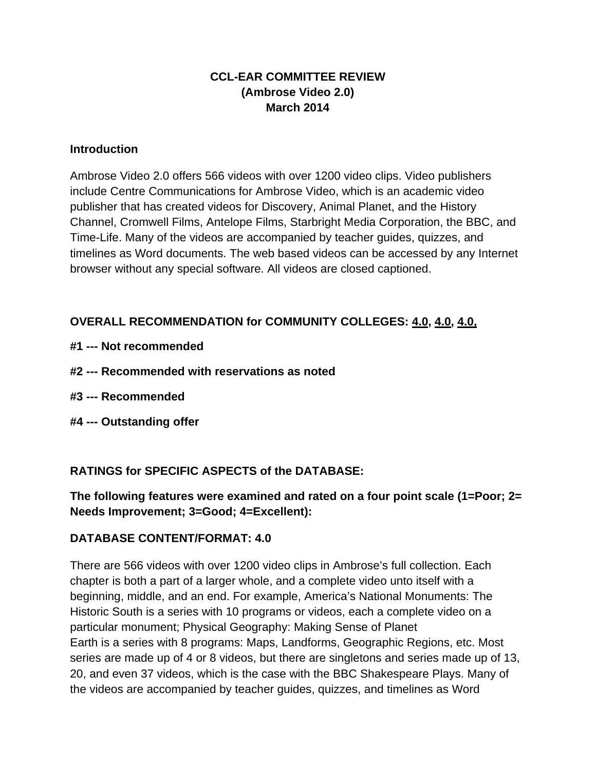# **CCL-EAR COMMITTEE REVIEW (Ambrose Video 2.0) March 2014**

## **Introduction**

Ambrose Video 2.0 offers 566 videos with over 1200 video clips. Video publishers include Centre Communications for Ambrose Video, which is an academic video publisher that has created videos for Discovery, Animal Planet, and the History Channel, Cromwell Films, Antelope Films, Starbright Media Corporation, the BBC, and Time-Life. Many of the videos are accompanied by teacher guides, quizzes, and timelines as Word documents. The web based videos can be accessed by any Internet browser without any special software. All videos are closed captioned.

# **OVERALL RECOMMENDATION for COMMUNITY COLLEGES: 4.0, 4.0, 4.0,**

- **#1 --- Not recommended**
- **#2 --- Recommended with reservations as noted**
- **#3 --- Recommended**
- **#4 --- Outstanding offer**

# **RATINGS for SPECIFIC ASPECTS of the DATABASE:**

**The following features were examined and rated on a four point scale (1=Poor; 2= Needs Improvement; 3=Good; 4=Excellent):**

## **DATABASE CONTENT/FORMAT: 4.0**

There are 566 videos with over 1200 video clips in Ambrose's full collection. Each chapter is both a part of a larger whole, and a complete video unto itself with a beginning, middle, and an end. For example, America's National Monuments: The Historic South is a series with 10 programs or videos, each a complete video on a particular monument; Physical Geography: Making Sense of Planet Earth is a series with 8 programs: Maps, Landforms, Geographic Regions, etc. Most series are made up of 4 or 8 videos, but there are singletons and series made up of 13, 20, and even 37 videos, which is the case with the BBC Shakespeare Plays. Many of the videos are accompanied by teacher guides, quizzes, and timelines as Word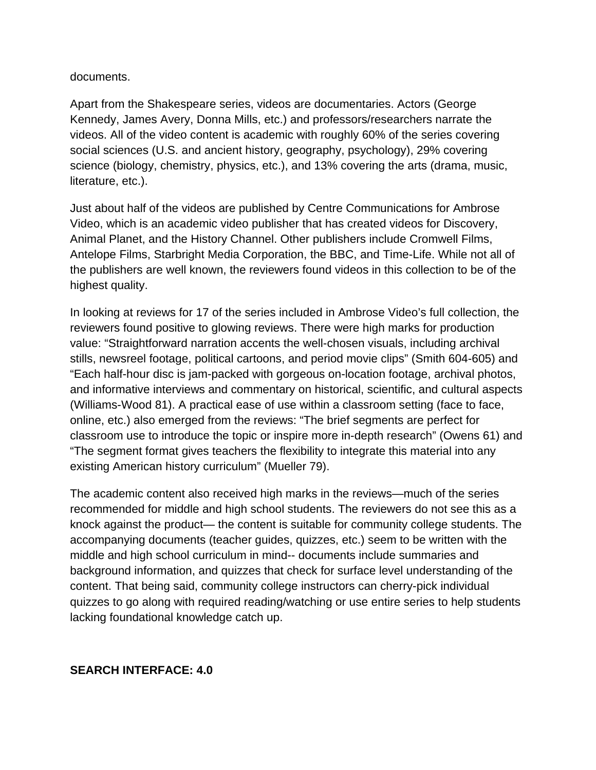documents.

Apart from the Shakespeare series, videos are documentaries. Actors (George Kennedy, James Avery, Donna Mills, etc.) and professors/researchers narrate the videos. All of the video content is academic with roughly 60% of the series covering social sciences (U.S. and ancient history, geography, psychology), 29% covering science (biology, chemistry, physics, etc.), and 13% covering the arts (drama, music, literature, etc.).

Just about half of the videos are published by Centre Communications for Ambrose Video, which is an academic video publisher that has created videos for Discovery, Animal Planet, and the History Channel. Other publishers include Cromwell Films, Antelope Films, Starbright Media Corporation, the BBC, and Time-Life. While not all of the publishers are well known, the reviewers found videos in this collection to be of the highest quality.

In looking at reviews for 17 of the series included in Ambrose Video's full collection, the reviewers found positive to glowing reviews. There were high marks for production value: "Straightforward narration accents the well-chosen visuals, including archival stills, newsreel footage, political cartoons, and period movie clips" (Smith 604-605) and "Each half-hour disc is jam-packed with gorgeous on-location footage, archival photos, and informative interviews and commentary on historical, scientific, and cultural aspects (Williams-Wood 81). A practical ease of use within a classroom setting (face to face, online, etc.) also emerged from the reviews: "The brief segments are perfect for classroom use to introduce the topic or inspire more in-depth research" (Owens 61) and "The segment format gives teachers the flexibility to integrate this material into any existing American history curriculum" (Mueller 79).

The academic content also received high marks in the reviews—much of the series recommended for middle and high school students. The reviewers do not see this as a knock against the product— the content is suitable for community college students. The accompanying documents (teacher guides, quizzes, etc.) seem to be written with the middle and high school curriculum in mind-- documents include summaries and background information, and quizzes that check for surface level understanding of the content. That being said, community college instructors can cherry-pick individual quizzes to go along with required reading/watching or use entire series to help students lacking foundational knowledge catch up.

# **SEARCH INTERFACE: 4.0**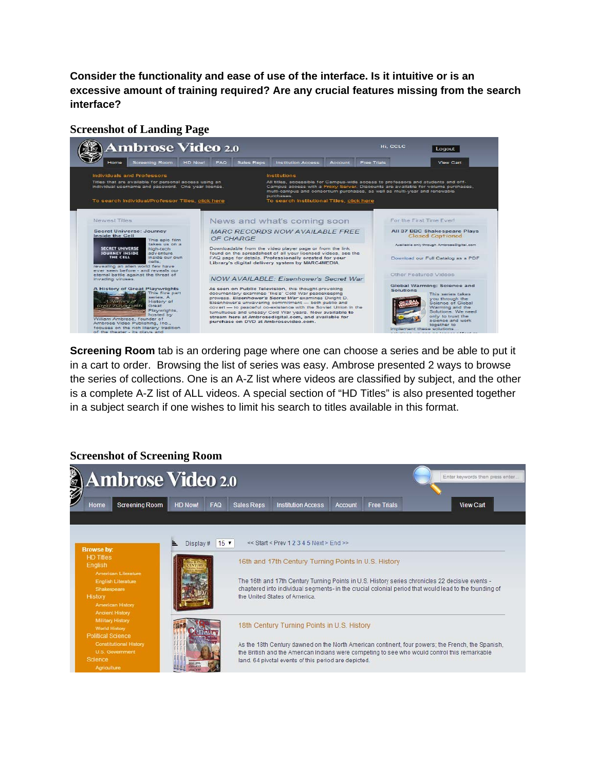**Consider the functionality and ease of use of the interface. Is it intuitive or is an excessive amount of training required? Are any crucial features missing from the search interface?** 

### **Screenshot of Landing Page**



**Screening Room** tab is an ordering page where one can choose a series and be able to put it in a cart to order. Browsing the list of series was easy. Ambrose presented 2 ways to browse the series of collections. One is an A-Z list where videos are classified by subject, and the other is a complete A-Z list of ALL videos. A special section of "HD Titles" is also presented together in a subject search if one wishes to limit his search to titles available in this format.

# **Screenshot of Screening Room**

| <b>ASSAND</b><br><b>Ambrose Video 2.0</b>                                                                                                                                                  |                              |                                                                                                                                                                                                                                                                                                          |                                                                                                                                                                                                                                                                                                                                                  |         |                    |  | Enter keywords then press enter |
|--------------------------------------------------------------------------------------------------------------------------------------------------------------------------------------------|------------------------------|----------------------------------------------------------------------------------------------------------------------------------------------------------------------------------------------------------------------------------------------------------------------------------------------------------|--------------------------------------------------------------------------------------------------------------------------------------------------------------------------------------------------------------------------------------------------------------------------------------------------------------------------------------------------|---------|--------------------|--|---------------------------------|
| <b>Screening Room</b><br>Home                                                                                                                                                              | <b>HD Now!</b><br><b>FAQ</b> | Sales Reps                                                                                                                                                                                                                                                                                               | <b>Institution Access</b>                                                                                                                                                                                                                                                                                                                        | Account | <b>Free Trials</b> |  | <b>View Cart</b>                |
| <b>Browse by:</b><br><b>HD Titles</b><br>English<br>American Literature<br><b>English Literature</b><br>Shakespeare<br><b>History</b><br><b>American History</b><br><b>Ancient History</b> | $15 \times$<br>Display#<br>≞ |                                                                                                                                                                                                                                                                                                          | $<<$ Start $<$ Prev 1 2 3 4 5 Next > End >><br>16th and 17th Century Turning Points In U.S. History<br>The 16th and 17th Century Turning Points in U.S. History series chronicles 22 decisive events -<br>chaptered into individual segments- in the crucial colonial period that would lead to the founding of<br>the United States of America. |         |                    |  |                                 |
| <b>Military History</b><br><b>World History</b><br><b>Political Science</b><br><b>Constitutional History</b><br><b>U.S. Government</b><br>Science<br>Agriculture                           |                              | 18th Century Turning Points in U.S. History<br>As the 18th Century dawned on the North American continent, four powers; the French, the Spanish,<br>the British and the American Indians were competing to see who would control this remarkable<br>land. 64 pivotal events of this period are depicted. |                                                                                                                                                                                                                                                                                                                                                  |         |                    |  |                                 |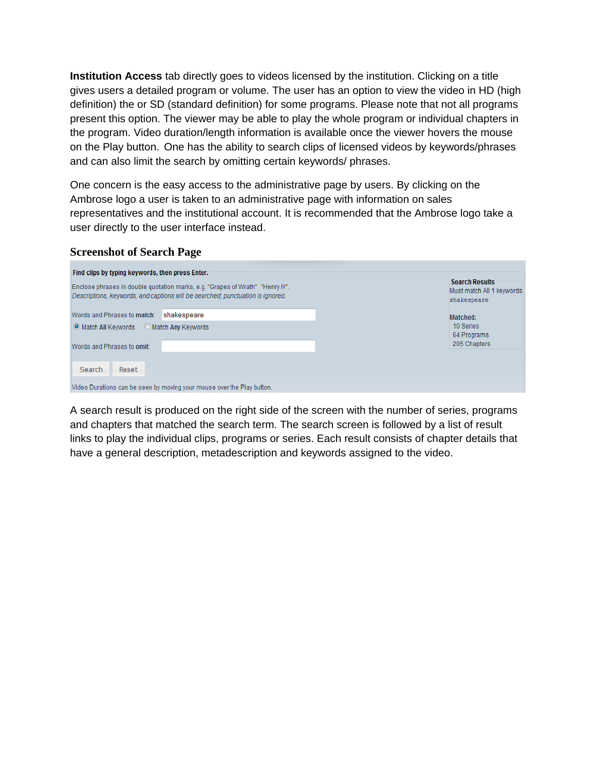**Institution Access** tab directly goes to videos licensed by the institution. Clicking on a title gives users a detailed program or volume. The user has an option to view the video in HD (high definition) the or SD (standard definition) for some programs. Please note that not all programs present this option. The viewer may be able to play the whole program or individual chapters in the program. Video duration/length information is available once the viewer hovers the mouse on the Play button. One has the ability to search clips of licensed videos by keywords/phrases and can also limit the search by omitting certain keywords/ phrases.

One concern is the easy access to the administrative page by users. By clicking on the Ambrose logo a user is taken to an administrative page with information on sales representatives and the institutional account. It is recommended that the Ambrose logo take a user directly to the user interface instead.

#### **Screenshot of Search Page**

| Find clips by typing keywords, then press Enter.                                                                                                                |                                                                   |
|-----------------------------------------------------------------------------------------------------------------------------------------------------------------|-------------------------------------------------------------------|
| Enclose phrases in double quotation marks, e.g. "Grapes of Wrath" "Henry IV".<br>Descriptions, keywords, and captions will be searched; punctuation is ignored. | <b>Search Results</b><br>Must match All 1 keywords<br>shakespeare |
| shakespeare<br>Words and Phrases to match:                                                                                                                      | Matched:                                                          |
| O Match All Keywords C Match Any Keywords                                                                                                                       | 10 Series<br>64 Programs                                          |
| Words and Phrases to omit:                                                                                                                                      | 205 Chapters                                                      |
| Search<br>Reset                                                                                                                                                 |                                                                   |
| Video Durations can be seen by moving your mouse over the Play button.                                                                                          |                                                                   |

A search result is produced on the right side of the screen with the number of series, programs and chapters that matched the search term. The search screen is followed by a list of result links to play the individual clips, programs or series. Each result consists of chapter details that have a general description, metadescription and keywords assigned to the video.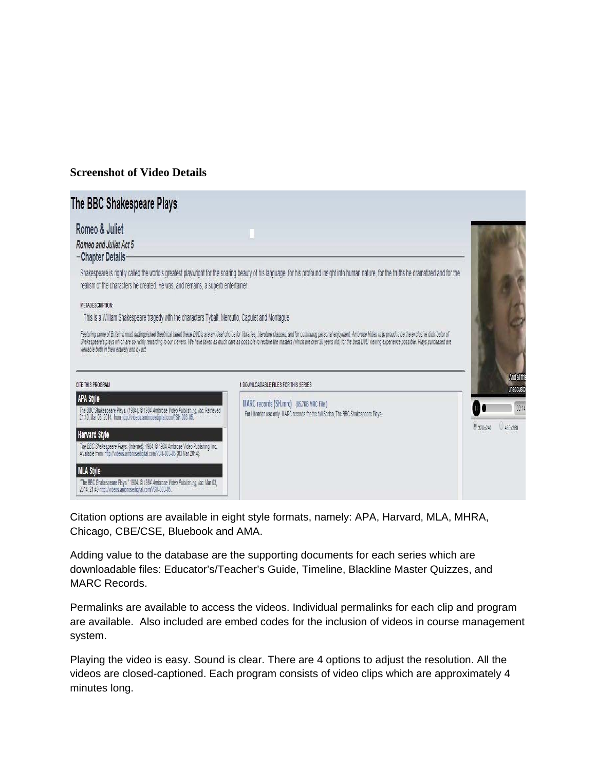## **Screenshot of Video Details**

| The BBC Shakespeare Plays                                                                                                                                                                                    |                                                                                                                                                                                                                                                                                                                                                                                                                                                                                                           |                        |
|--------------------------------------------------------------------------------------------------------------------------------------------------------------------------------------------------------------|-----------------------------------------------------------------------------------------------------------------------------------------------------------------------------------------------------------------------------------------------------------------------------------------------------------------------------------------------------------------------------------------------------------------------------------------------------------------------------------------------------------|------------------------|
| Romeo & Juliet<br>Romeo and Juliet Act 5<br>-Chapter Details-                                                                                                                                                |                                                                                                                                                                                                                                                                                                                                                                                                                                                                                                           |                        |
| realism of the characters he created. He was, and remains, a superb entertainer.                                                                                                                             | Shakespeare is rightly called the world's greatest playwright for the soaring beauty of his language, for his profound insight into human nature, for the truths he dramatized and for the                                                                                                                                                                                                                                                                                                                |                        |
| <b>METADE SCRIPTION:</b>                                                                                                                                                                                     |                                                                                                                                                                                                                                                                                                                                                                                                                                                                                                           |                        |
| This is a William Shakespeare tragedy with the characters Tybalt, Mercutio, Capulet and Montague                                                                                                             |                                                                                                                                                                                                                                                                                                                                                                                                                                                                                                           |                        |
| viewable both in their entirety and by act<br>CITE THIS PROGRAM                                                                                                                                              | Featuring some of Britain's most distinguished theatrical talent these DVD's are an ideal choice for libraries, literature classes, and for continuing personal enjoyment. Ambrose Video is to proud to be the exclusive distr<br>Shakespeare's plays which are so richly rewarding to our viewers. We have taken as much care as possible to restore the masters (which are over 20 years old) for the best DVD viewing experience possible. Plays purchased ar<br>1 DOWNLOADABLE FILES FOR THIS SERIES. | And all th<br>unaccust |
| APA Style<br>The BBC Shakespeare Plays. (1984). @ 1984 Ambrose Video Publishing, Inc. Retrieved<br>21:40, Mar 03, 2014, from http://videos.ambrosedigital.com/?SH-003-05.                                    | MARC records (SH.mrc) (85.7KB MRC File)<br>For Librarian use only. MARC records for the full Series, The BBC Shakespeare Plays                                                                                                                                                                                                                                                                                                                                                                            | O٠<br>00:1             |
| <b>Harvard Style</b><br>The BBC Shakespeare Plays. (Internet). 1984. @ 1984 Ambrose Video Publishing, Inc.<br>Available from: http://videos.ambrosedigital.com/?SH-003-05 {03 Mar 2014}.<br><b>MLA Style</b> |                                                                                                                                                                                                                                                                                                                                                                                                                                                                                                           | 9320x240<br>480x360    |
| "The BBC Shakespeare Plays." 1984. @ 1984 Ambrose Video Publishing, Inc. Mar 03,                                                                                                                             |                                                                                                                                                                                                                                                                                                                                                                                                                                                                                                           |                        |

Citation options are available in eight style formats, namely: APA, Harvard, MLA, MHRA, Chicago, CBE/CSE, Bluebook and AMA.

Adding value to the database are the supporting documents for each series which are downloadable files: Educator's/Teacher's Guide, Timeline, Blackline Master Quizzes, and MARC Records.

Permalinks are available to access the videos. Individual permalinks for each clip and program are available. Also included are embed codes for the inclusion of videos in course management system.

Playing the video is easy. Sound is clear. There are 4 options to adjust the resolution. All the videos are closed-captioned. Each program consists of video clips which are approximately 4 minutes long.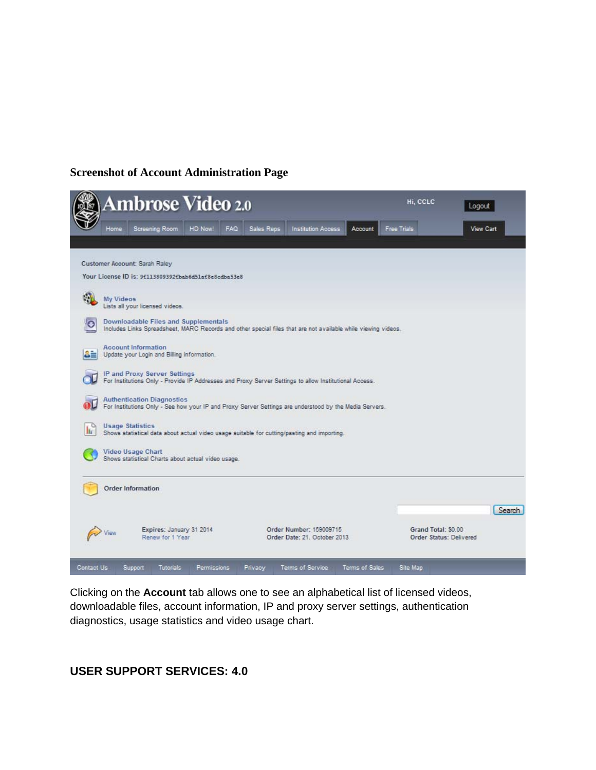### **Screenshot of Account Administration Page**



Clicking on the **Account** tab allows one to see an alphabetical list of licensed videos, downloadable files, account information, IP and proxy server settings, authentication diagnostics, usage statistics and video usage chart.

## **USER SUPPORT SERVICES: 4.0**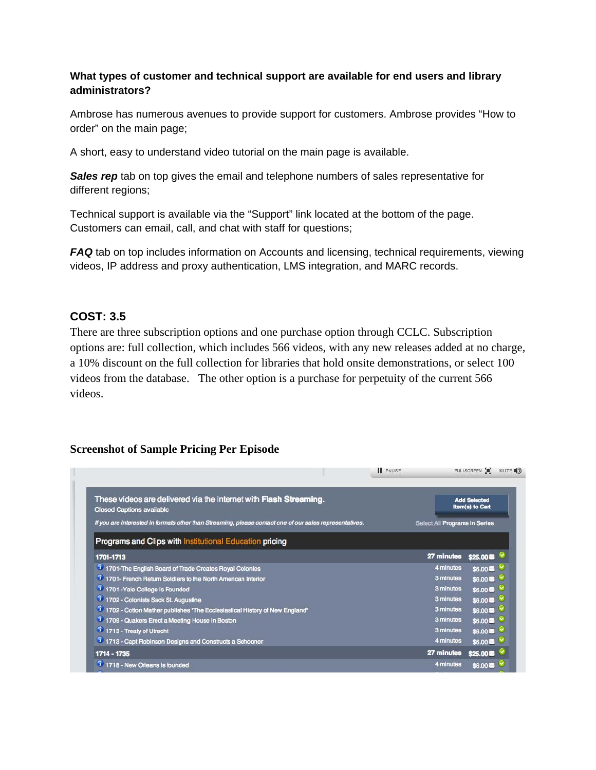### **What types of customer and technical support are available for end users and library administrators?**

Ambrose has numerous avenues to provide support for customers. Ambrose provides "How to order" on the main page;

A short, easy to understand video tutorial on the main page is available.

**Sales rep** tab on top gives the email and telephone numbers of sales representative for different regions;

Technical support is available via the "Support" link located at the bottom of the page. Customers can email, call, and chat with staff for questions;

*FAQ* tab on top includes information on Accounts and licensing, technical requirements, viewing videos, IP address and proxy authentication, LMS integration, and MARC records.

## **COST: 3.5**

There are three subscription options and one purchase option through CCLC. Subscription options are: full collection, which includes 566 videos, with any new releases added at no charge, a 10% discount on the full collection for libraries that hold onsite demonstrations, or select 100 videos from the database. The other option is a purchase for perpetuity of the current 566 videos.

## **Screenshot of Sample Pricing Per Episode**

|                                                                                                              | <b>PAUSE</b> |                               | FULLSCREEN <b>3</b> , MUTE <b>3</b>    |  |
|--------------------------------------------------------------------------------------------------------------|--------------|-------------------------------|----------------------------------------|--|
| These videos are delivered via the internet with <b>Flash Streaming.</b><br><b>Closed Captions available</b> |              |                               | <b>Add Selected</b><br>Item(s) to Cart |  |
| If you are interested in formats other than Streaming, please contact one of our sales representatives.      |              | Select All Programs in Series |                                        |  |
| <b>Programs and Clips with Institutional Education pricing</b>                                               |              |                               |                                        |  |
| 1701-1713                                                                                                    |              | 27 minutes                    | \$25.00                                |  |
| 1701-The English Board of Trade Creates Royal Colonies                                                       |              | 4 minutes                     | $$6.00\text{ m}$ $\sim$                |  |
| 1701- French Return Soldiers to the North American Interior                                                  |              | 3 minutes                     | $$6.00 \rightarrow \infty$             |  |
| 1 1701 - Yale College is Founded                                                                             |              | 3 minutes                     | $$6.00 \bullet \heartsuit$             |  |
| 1 1702 - Colonists Sack St. Augustine                                                                        |              | 3 minutes                     | $$6.00$ $\degree$                      |  |
| 1702 - Cotton Mather publishes "The Ecclesiastical History of New England"                                   |              | 3 minutes                     | $$6.00$ $\degree$                      |  |
| 1709 - Quakers Erect a Meeting House in Boston                                                               |              | 3 minutes                     | $$6.00$ $\sim$                         |  |
| 1 1713 - Treaty of Utrecht                                                                                   |              | 3 minutes                     | $$6.00 \bullet \heartsuit$             |  |
| 1713 - Capt Robinson Designs and Constructs a Schooner                                                       |              | 4 minutes                     | $$6.00$ $\blacksquare$                 |  |
| 1714 - 1735                                                                                                  |              | 27 minutes                    | $$25.00 =$                             |  |
| 1 1718 - New Orleans is founded                                                                              |              | 4 minutes                     | \$6.00                                 |  |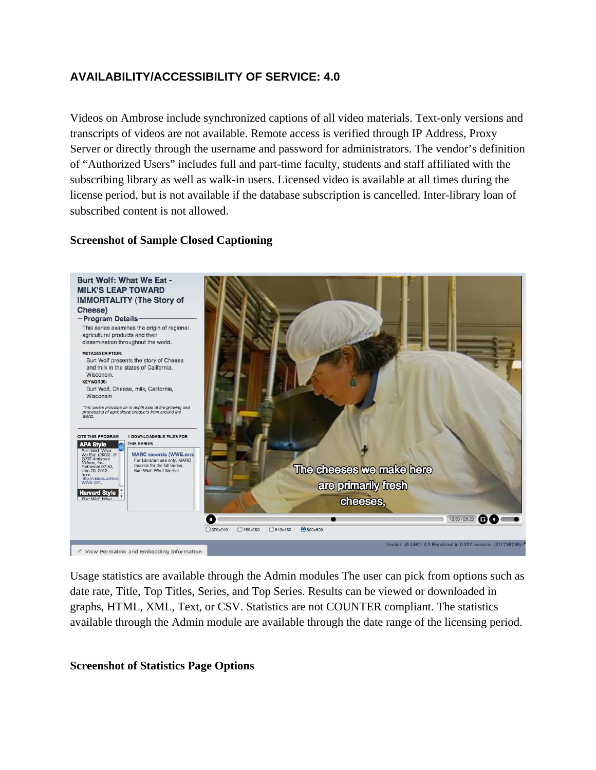# **AVAILABILITY/ACCESSIBILITY OF SERVICE: 4.0**

Videos on Ambrose include synchronized captions of all video materials. Text-only versions and transcripts of videos are not available. Remote access is verified through IP Address, Proxy Server or directly through the username and password for administrators. The vendor's definition of "Authorized Users" includes full and part-time faculty, students and staff affiliated with the subscribing library as well as walk-in users. Licensed video is available at all times during the license period, but is not available if the database subscription is cancelled. Inter-library loan of subscribed content is not allowed.

### **Screenshot of Sample Closed Captioning**



Usage statistics are available through the Admin modules The user can pick from options such as date rate, Title, Top Titles, Series, and Top Series. Results can be viewed or downloaded in graphs, HTML, XML, Text, or CSV. Statistics are not COUNTER compliant. The statistics available through the Admin module are available through the date range of the licensing period.

### **Screenshot of Statistics Page Options**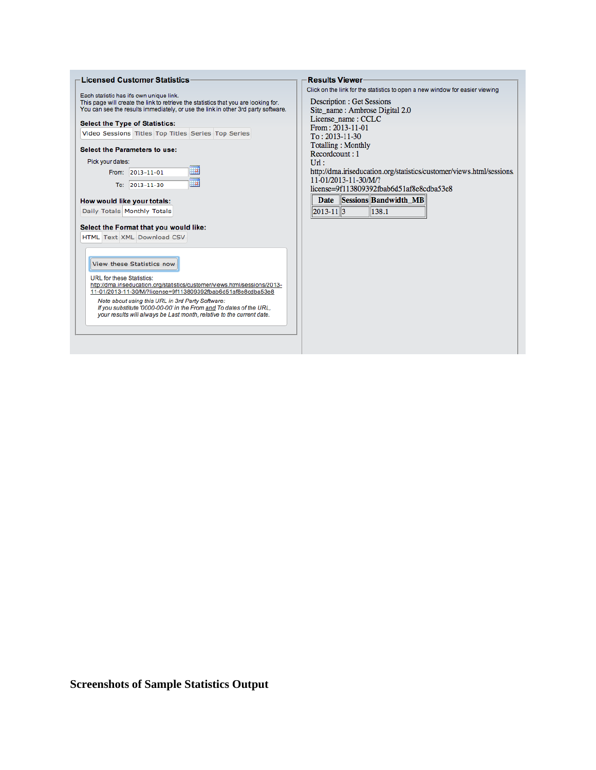| <b>Licensed Customer Statistics</b>                                                                                                          | <b>Results Viewer</b>                                                        |
|----------------------------------------------------------------------------------------------------------------------------------------------|------------------------------------------------------------------------------|
|                                                                                                                                              | Click on the link for the statistics to open a new window for easier viewing |
| Each statistic has it's own unique link.<br>This page will create the link to retrieve the statistics that you are looking for.              | <b>Description: Get Sessions</b>                                             |
| You can see the results immediately, or use the link in other 3rd party software.                                                            | Site name: Ambrose Digital 2.0                                               |
| <b>Select the Type of Statistics:</b>                                                                                                        | License name: CCLC                                                           |
| Video Sessions Titles Top Titles Series Top Series                                                                                           | From: 2013-11-01                                                             |
|                                                                                                                                              | $To: 2013-11-30$                                                             |
| Select the Parameters to use:                                                                                                                | <b>Totalling: Monthly</b><br>Recordcount: 1                                  |
| Pick your dates:                                                                                                                             | $Ur$ :                                                                       |
| Ha I<br>From: 2013-11-01                                                                                                                     | http://dma.iriseducation.org/statistics/customer/views.html/sessions.        |
|                                                                                                                                              | 11-01/2013-11-30/M/?                                                         |
| 画<br>$2013 - 11 - 30$<br>To:                                                                                                                 | license=9f113809392fbab6d51af8e8cdba53e8                                     |
|                                                                                                                                              | Date Sessions Bandwidth_MB                                                   |
| How would like your totals:                                                                                                                  |                                                                              |
| Daily Totals Monthly Totals                                                                                                                  | $ 2013-11  3$<br>138.1                                                       |
| Select the Format that you would like:                                                                                                       |                                                                              |
| HTML Text XML Download CSV                                                                                                                   |                                                                              |
|                                                                                                                                              |                                                                              |
|                                                                                                                                              |                                                                              |
| View these Statistics now                                                                                                                    |                                                                              |
|                                                                                                                                              |                                                                              |
| <b>URL</b> for these Statistics:<br>http://dma.iriseducation.org/statistics/customer/views.html/sessions/2013-                               |                                                                              |
| 11-01/2013-11-30/M/?license=9f113809392fbab6d51af8e8cdba53e8                                                                                 |                                                                              |
| Note about using this URL in 3rd Party Software:                                                                                             |                                                                              |
| If you substitute '0000-00-00' in the From and To dates of the URL.<br>your results will always be Last month, relative to the current date. |                                                                              |
|                                                                                                                                              |                                                                              |
|                                                                                                                                              |                                                                              |
|                                                                                                                                              |                                                                              |
|                                                                                                                                              |                                                                              |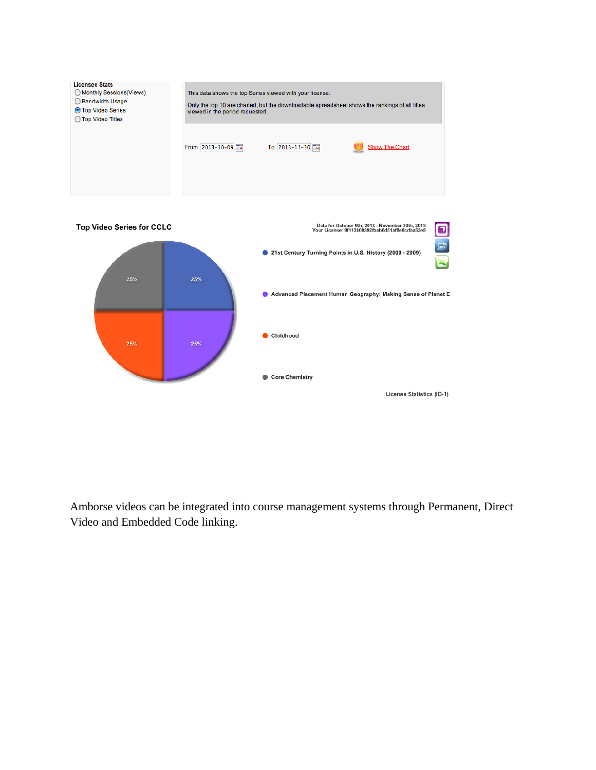

Amborse videos can be integrated into course management systems through Permanent, Direct Video and Embedded Code linking.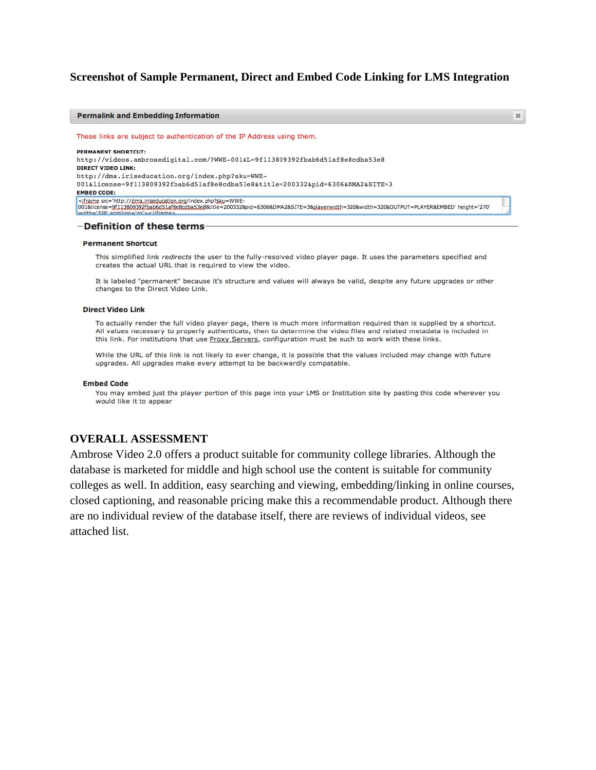#### **Screenshot of Sample Permanent, Direct and Embed Code Linking for LMS Integration**

 $\mathbb X$ 

#### **Permalink and Embedding Information**

These links are subject to authentication of the IP Address using them.

PERMANENT SHORTCUT: http://videos.ambrosedigital.com/?WWE-001&L=9f113809392fbab6d51af8e8cdba53e8 **DIRECT VIDEO LINK:** http://dma.iriseducation.org/index.php?sku=WWE-001&license=9f113809392fbab6d51af8e8cdba53e8&title=200332&pid=6306&DMA2&SITE=3 **EMBED CODE:** 

#### -Definition of these terms

#### **Permanent Shortcut**

This simplified link redirects the user to the fully-resolved video player page. It uses the parameters specified and creates the actual URL that is required to view the video.

It is labeled "permanent" because it's structure and values will always be valid, despite any future upgrades or other changes to the Direct Video Link.

#### Direct Video Link

To actually render the full video player page, there is much more information required than is supplied by a shortcut. All values necessary to properly authenticate, then to determine the video files and related metadata is included in this link. For institutions that use Proxy Servers, configuration must be such to work with these links.

While the URL of this link is not likely to ever change, it is possible that the values included may change with future upgrades. All upgrades make every attempt to be backwardly compatable.

#### **Embed Code**

You may embed just the player portion of this page into your LMS or Institution site by pasting this code wherever you would like it to appear

#### **OVERALL ASSESSMENT**

Ambrose Video 2.0 offers a product suitable for community college libraries. Although the database is marketed for middle and high school use the content is suitable for community colleges as well. In addition, easy searching and viewing, embedding/linking in online courses, closed captioning, and reasonable pricing make this a recommendable product. Although there are no individual review of the database itself, there are reviews of individual videos, see attached list.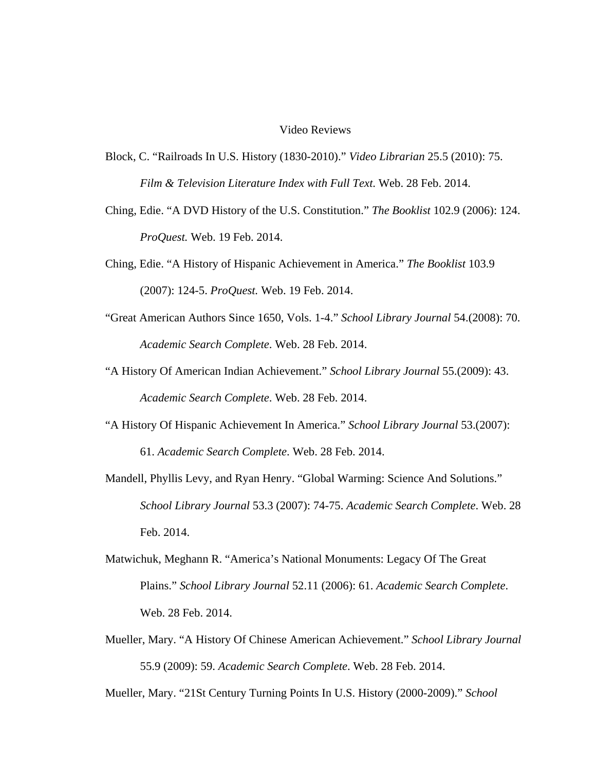#### Video Reviews

- Block, C. "Railroads In U.S. History (1830-2010)." *Video Librarian* 25.5 (2010): 75. *Film & Television Literature Index with Full Text*. Web. 28 Feb. 2014.
- Ching, Edie. "A DVD History of the U.S. Constitution." *The Booklist* 102.9 (2006): 124. *ProQuest.* Web. 19 Feb. 2014.
- Ching, Edie. "A History of Hispanic Achievement in America." *The Booklist* 103.9 (2007): 124-5. *ProQuest.* Web. 19 Feb. 2014.
- "Great American Authors Since 1650, Vols. 1-4." *School Library Journal* 54.(2008): 70. *Academic Search Complete*. Web. 28 Feb. 2014.
- "A History Of American Indian Achievement." *School Library Journal* 55.(2009): 43. *Academic Search Complete*. Web. 28 Feb. 2014.
- "A History Of Hispanic Achievement In America." *School Library Journal* 53.(2007): 61. *Academic Search Complete*. Web. 28 Feb. 2014.
- Mandell, Phyllis Levy, and Ryan Henry. "Global Warming: Science And Solutions." *School Library Journal* 53.3 (2007): 74-75. *Academic Search Complete*. Web. 28 Feb. 2014.
- Matwichuk, Meghann R. "America's National Monuments: Legacy Of The Great Plains." *School Library Journal* 52.11 (2006): 61. *Academic Search Complete*. Web. 28 Feb. 2014.
- Mueller, Mary. "A History Of Chinese American Achievement." *School Library Journal* 55.9 (2009): 59. *Academic Search Complete*. Web. 28 Feb. 2014.

Mueller, Mary. "21St Century Turning Points In U.S. History (2000-2009)." *School*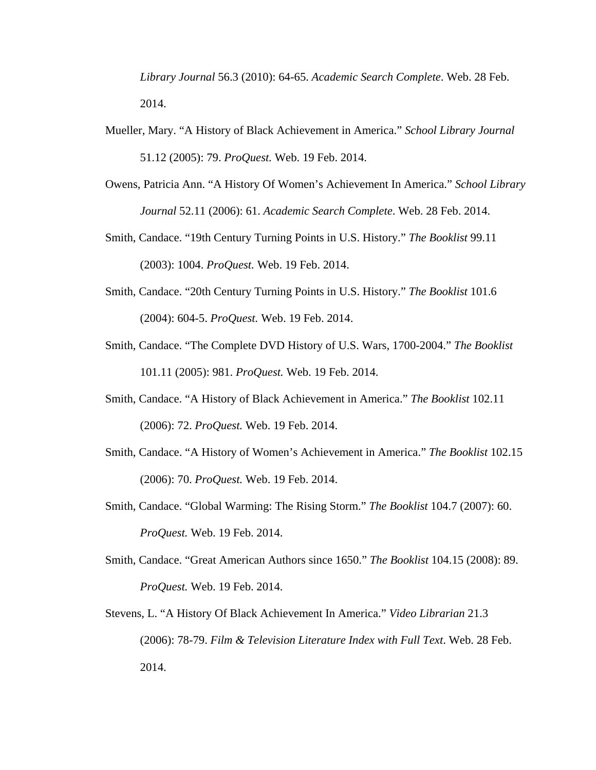*Library Journal* 56.3 (2010): 64-65. *Academic Search Complete*. Web. 28 Feb. 2014.

- Mueller, Mary. "A History of Black Achievement in America." *School Library Journal* 51.12 (2005): 79. *ProQuest.* Web. 19 Feb. 2014.
- Owens, Patricia Ann. "A History Of Women's Achievement In America." *School Library Journal* 52.11 (2006): 61. *Academic Search Complete*. Web. 28 Feb. 2014.
- Smith, Candace. "19th Century Turning Points in U.S. History." *The Booklist* 99.11 (2003): 1004. *ProQuest.* Web. 19 Feb. 2014.
- Smith, Candace. "20th Century Turning Points in U.S. History." *The Booklist* 101.6 (2004): 604-5. *ProQuest.* Web. 19 Feb. 2014.
- Smith, Candace. "The Complete DVD History of U.S. Wars, 1700-2004." *The Booklist* 101.11 (2005): 981. *ProQuest.* Web. 19 Feb. 2014.
- Smith, Candace. "A History of Black Achievement in America." *The Booklist* 102.11 (2006): 72. *ProQuest.* Web. 19 Feb. 2014.
- Smith, Candace. "A History of Women's Achievement in America." *The Booklist* 102.15 (2006): 70. *ProQuest.* Web. 19 Feb. 2014.
- Smith, Candace. "Global Warming: The Rising Storm." *The Booklist* 104.7 (2007): 60. *ProQuest.* Web. 19 Feb. 2014.
- Smith, Candace. "Great American Authors since 1650." *The Booklist* 104.15 (2008): 89. *ProQuest.* Web. 19 Feb. 2014.
- Stevens, L. "A History Of Black Achievement In America." *Video Librarian* 21.3 (2006): 78-79. *Film & Television Literature Index with Full Text*. Web. 28 Feb. 2014.